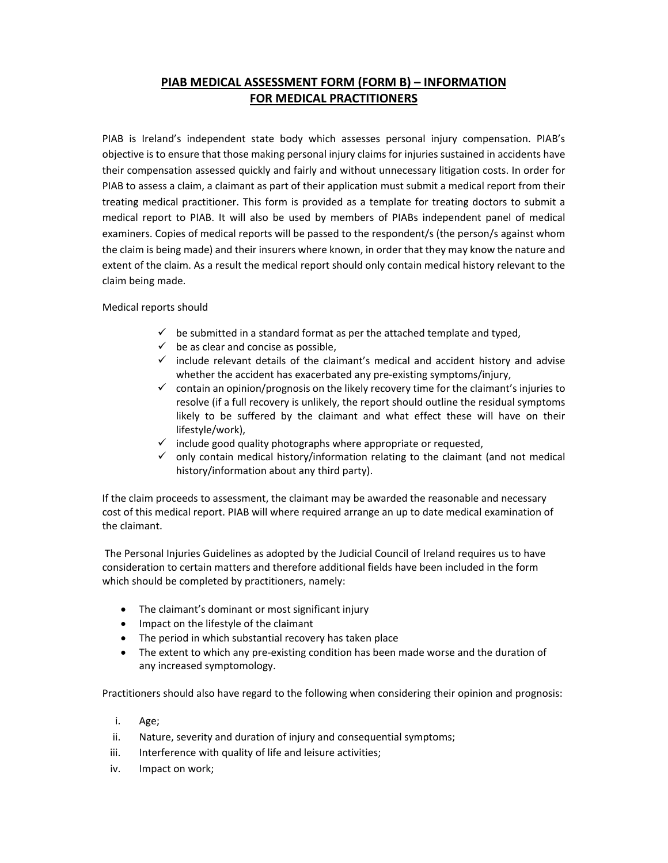### **PIAB MEDICAL ASSESSMENT FORM (FORM B) – INFORMATION FOR MEDICAL PRACTITIONERS**

PIAB is Ireland's independent state body which assesses personal injury compensation. PIAB's objective is to ensure that those making personal injury claims for injuries sustained in accidents have their compensation assessed quickly and fairly and without unnecessary litigation costs. In order for PIAB to assess a claim, a claimant as part of their application must submit a medical report from their treating medical practitioner. This form is provided as a template for treating doctors to submit a medical report to PIAB. It will also be used by members of PIABs independent panel of medical examiners. Copies of medical reports will be passed to the respondent/s (the person/s against whom the claim is being made) and their insurers where known, in order that they may know the nature and extent of the claim. As a result the medical report should only contain medical history relevant to the claim being made.

### Medical reports should

- $\checkmark$  be submitted in a standard format as per the attached template and typed,
- $\checkmark$  be as clear and concise as possible,
- $\checkmark$  include relevant details of the claimant's medical and accident history and advise whether the accident has exacerbated any pre-existing symptoms/injury,
- $\checkmark$  contain an opinion/prognosis on the likely recovery time for the claimant's injuries to resolve (if a full recovery is unlikely, the report should outline the residual symptoms likely to be suffered by the claimant and what effect these will have on their lifestyle/work),
- $\checkmark$  include good quality photographs where appropriate or requested,
- $\checkmark$  only contain medical history/information relating to the claimant (and not medical history/information about any third party).

If the claim proceeds to assessment, the claimant may be awarded the reasonable and necessary cost of this medical report. PIAB will where required arrange an up to date medical examination of the claimant.

 The Personal Injuries Guidelines as adopted by the Judicial Council of Ireland requires us to have consideration to certain matters and therefore additional fields have been included in the form which should be completed by practitioners, namely:

- The claimant's dominant or most significant injury
- Impact on the lifestyle of the claimant
- The period in which substantial recovery has taken place
- The extent to which any pre-existing condition has been made worse and the duration of any increased symptomology.

Practitioners should also have regard to the following when considering their opinion and prognosis:

- i. Age;
- ii. Nature, severity and duration of injury and consequential symptoms;
- iii. Interference with quality of life and leisure activities;
- iv. Impact on work;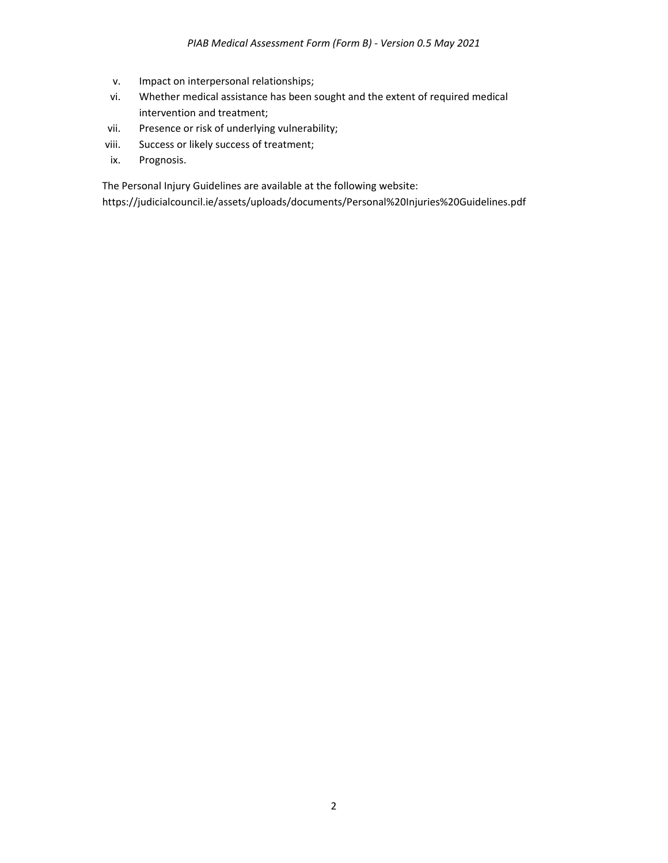- v. Impact on interpersonal relationships;
- vi. Whether medical assistance has been sought and the extent of required medical intervention and treatment;
- vii. Presence or risk of underlying vulnerability;
- viii. Success or likely success of treatment;
- ix. Prognosis.

The Personal Injury Guidelines are available at the following website:

https://judicialcouncil.ie/assets/uploads/documents/Personal%20Injuries%20Guidelines.pdf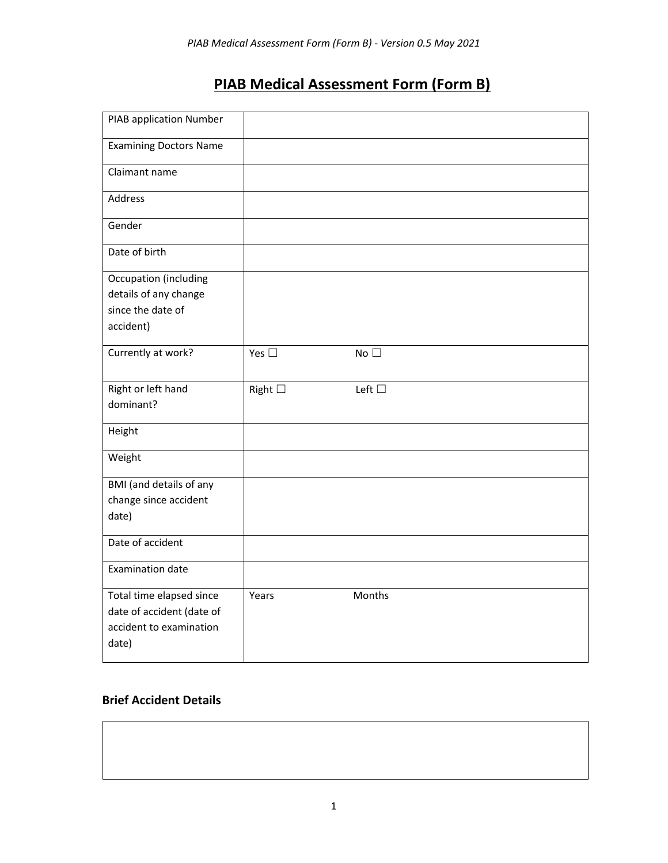# **PIAB Medical Assessment Form (Form B)**

| PIAB application Number       |                 |              |
|-------------------------------|-----------------|--------------|
| <b>Examining Doctors Name</b> |                 |              |
| Claimant name                 |                 |              |
| Address                       |                 |              |
| Gender                        |                 |              |
| Date of birth                 |                 |              |
| Occupation (including         |                 |              |
| details of any change         |                 |              |
| since the date of             |                 |              |
| accident)                     |                 |              |
| Currently at work?            | Yes $\square$   | No $\square$ |
| Right or left hand            | Right $\square$ | Left $\Box$  |
| dominant?                     |                 |              |
| Height                        |                 |              |
| Weight                        |                 |              |
| BMI (and details of any       |                 |              |
| change since accident         |                 |              |
| date)                         |                 |              |
| Date of accident              |                 |              |
| <b>Examination date</b>       |                 |              |
| Total time elapsed since      | Years           | Months       |
| date of accident (date of     |                 |              |
| accident to examination       |                 |              |
| date)                         |                 |              |

## **Brief Accident Details**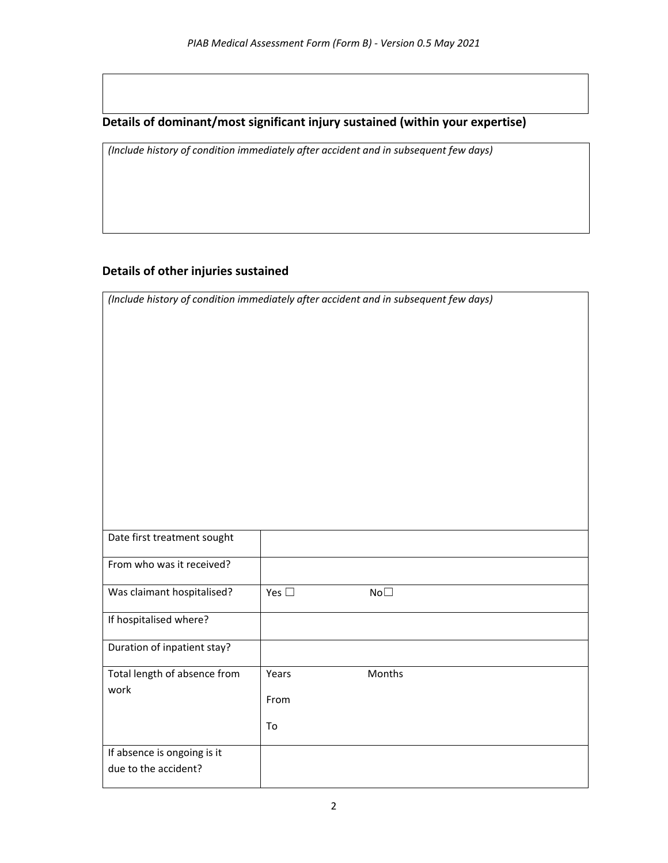**Details of dominant/most significant injury sustained (within your expertise)** 

*(Include history of condition immediately after accident and in subsequent few days)* 

### **Details of other injuries sustained**

| (Include history of condition immediately after accident and in subsequent few days) |               |                 |
|--------------------------------------------------------------------------------------|---------------|-----------------|
|                                                                                      |               |                 |
|                                                                                      |               |                 |
|                                                                                      |               |                 |
|                                                                                      |               |                 |
|                                                                                      |               |                 |
|                                                                                      |               |                 |
|                                                                                      |               |                 |
|                                                                                      |               |                 |
|                                                                                      |               |                 |
|                                                                                      |               |                 |
|                                                                                      |               |                 |
|                                                                                      |               |                 |
| Date first treatment sought                                                          |               |                 |
| From who was it received?                                                            |               |                 |
| Was claimant hospitalised?                                                           | Yes $\square$ | No <sub>1</sub> |
| If hospitalised where?                                                               |               |                 |
| Duration of inpatient stay?                                                          |               |                 |
| Total length of absence from                                                         | Years         | Months          |
| work                                                                                 | From          |                 |
|                                                                                      | To            |                 |
| If absence is ongoing is it                                                          |               |                 |
| due to the accident?                                                                 |               |                 |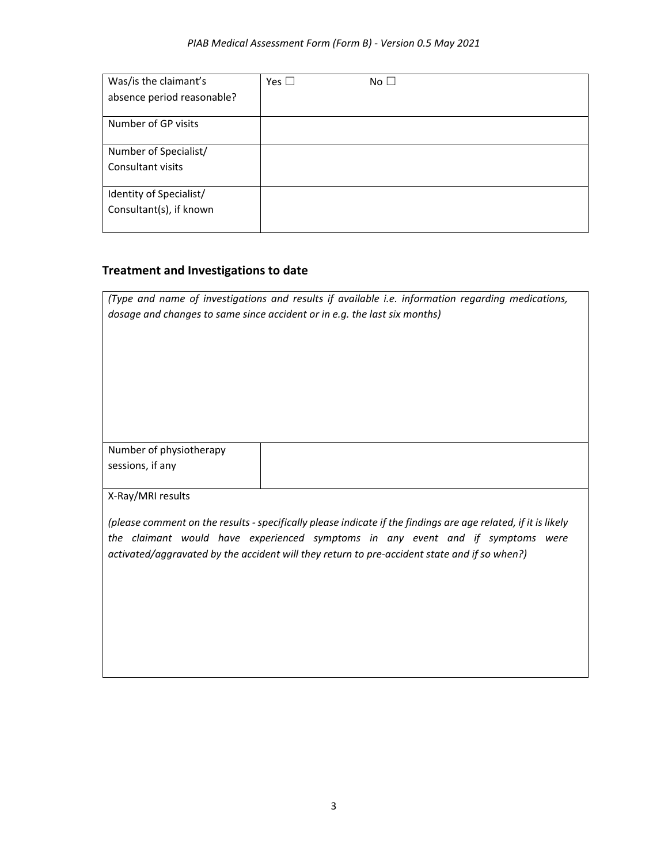| Was/is the claimant's      | Yes $\square$ | No $\square$ |
|----------------------------|---------------|--------------|
| absence period reasonable? |               |              |
|                            |               |              |
| Number of GP visits        |               |              |
|                            |               |              |
| Number of Specialist/      |               |              |
| Consultant visits          |               |              |
|                            |               |              |
| Identity of Specialist/    |               |              |
| Consultant(s), if known    |               |              |
|                            |               |              |

## **Treatment and Investigations to date**

|                         | (Type and name of investigations and results if available i.e. information regarding medications,              |
|-------------------------|----------------------------------------------------------------------------------------------------------------|
|                         | dosage and changes to same since accident or in e.g. the last six months)                                      |
|                         |                                                                                                                |
|                         |                                                                                                                |
|                         |                                                                                                                |
|                         |                                                                                                                |
|                         |                                                                                                                |
|                         |                                                                                                                |
|                         |                                                                                                                |
|                         |                                                                                                                |
| Number of physiotherapy |                                                                                                                |
| sessions, if any        |                                                                                                                |
|                         |                                                                                                                |
| X-Ray/MRI results       |                                                                                                                |
|                         |                                                                                                                |
|                         | (please comment on the results - specifically please indicate if the findings are age related, if it is likely |
|                         | the claimant would have experienced symptoms in any event and if symptoms were                                 |
|                         | activated/aggravated by the accident will they return to pre-accident state and if so when?)                   |
|                         |                                                                                                                |
|                         |                                                                                                                |
|                         |                                                                                                                |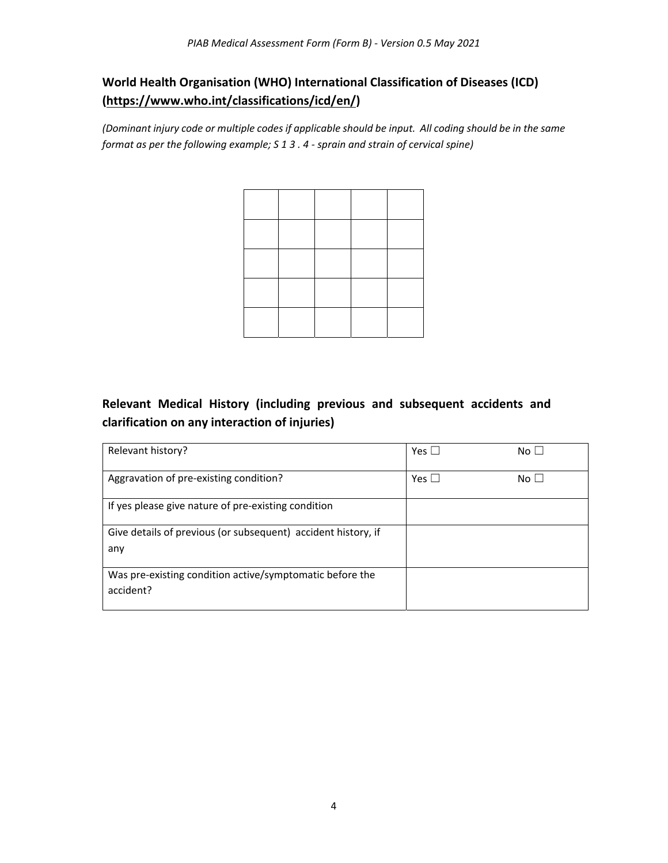## **World Health Organisation (WHO) International Classification of Diseases (ICD) (https://www.who.int/classifications/icd/en/)**

*(Dominant injury code or multiple codes if applicable should be input. All coding should be in the same format as per the following example; S 1 3 . 4 ‐ sprain and strain of cervical spine)* 



## **Relevant Medical History (including previous and subsequent accidents and clarification on any interaction of injuries)**

| Relevant history?                                                     | Yes $\square$ | No $\Box$   |
|-----------------------------------------------------------------------|---------------|-------------|
| Aggravation of pre-existing condition?                                | Yes $\Box$    | $No$ $\Box$ |
| If yes please give nature of pre-existing condition                   |               |             |
| Give details of previous (or subsequent) accident history, if<br>any  |               |             |
| Was pre-existing condition active/symptomatic before the<br>accident? |               |             |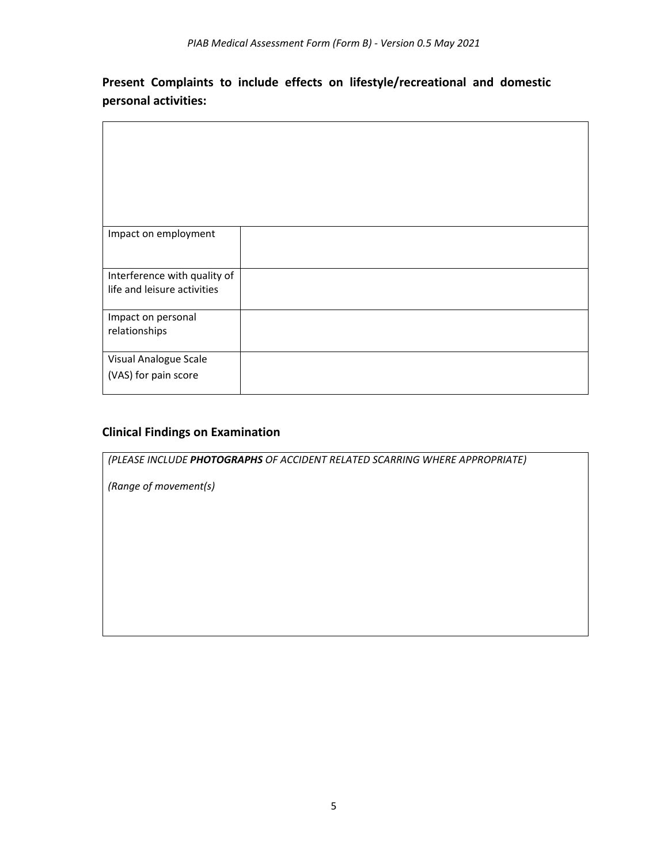**Present Complaints to include effects on lifestyle/recreational and domestic personal activities:** 

| Impact on employment                |  |
|-------------------------------------|--|
|                                     |  |
|                                     |  |
| Interference with quality of        |  |
| life and leisure activities         |  |
|                                     |  |
| Impact on personal<br>relationships |  |
|                                     |  |
| Visual Analogue Scale               |  |
| (VAS) for pain score                |  |
|                                     |  |

### **Clinical Findings on Examination**

| (PLEASE INCLUDE PHOTOGRAPHS OF ACCIDENT RELATED SCARRING WHERE APPROPRIATE) |
|-----------------------------------------------------------------------------|
|-----------------------------------------------------------------------------|

*(Range of movement(s)*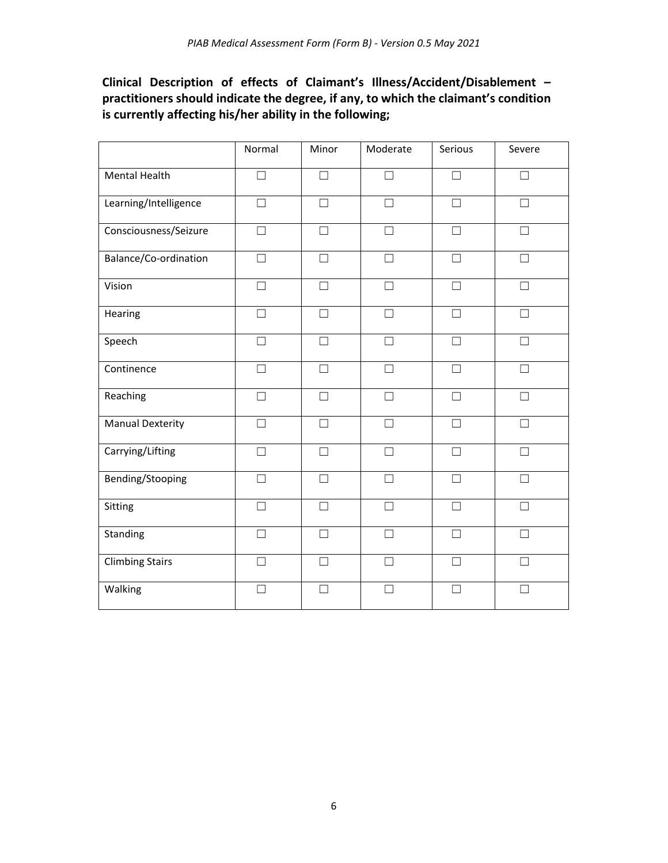## **Clinical Description of effects of Claimant's Illness/Accident/Disablement – practitioners should indicate the degree, if any, to which the claimant's condition is currently affecting his/her ability in the following;**

|                         | Normal | Minor      | Moderate | Serious  | Severe |
|-------------------------|--------|------------|----------|----------|--------|
| <b>Mental Health</b>    | $\Box$ | $\Box$     | П        | $\Box$   | П      |
| Learning/Intelligence   | $\Box$ | П          | П        | $\Box$   | П      |
| Consciousness/Seizure   | $\Box$ | $\Box$     | П        | $\Box$   | П      |
| Balance/Co-ordination   | $\Box$ | П          |          |          | П      |
| Vision                  | $\Box$ | $\Box$     | $\Box$   | $\Box$   | $\Box$ |
| Hearing                 | $\Box$ | $\Box$     | П        | $\Box$   | $\Box$ |
| Speech                  | п      |            |          | П        |        |
| Continence              | $\Box$ | П          |          | <b>I</b> |        |
| Reaching                | $\Box$ | $\Box$     | П        | $\Box$   | П      |
| <b>Manual Dexterity</b> | $\Box$ | $\Box$     | $\Box$   | $\Box$   | $\Box$ |
| Carrying/Lifting        | $\Box$ | $\Box$     | П        | $\Box$   | $\Box$ |
| Bending/Stooping        | П      | П          |          | П        |        |
| Sitting                 | $\sim$ | H          |          | П        |        |
| Standing                | П      | $\Box$     | ٦        | П        | П      |
| <b>Climbing Stairs</b>  | $\Box$ | $\Box$     | $\Box$   | $\Box$   | $\Box$ |
| Walking                 | $\Box$ | <b>COL</b> | П        | П        | П      |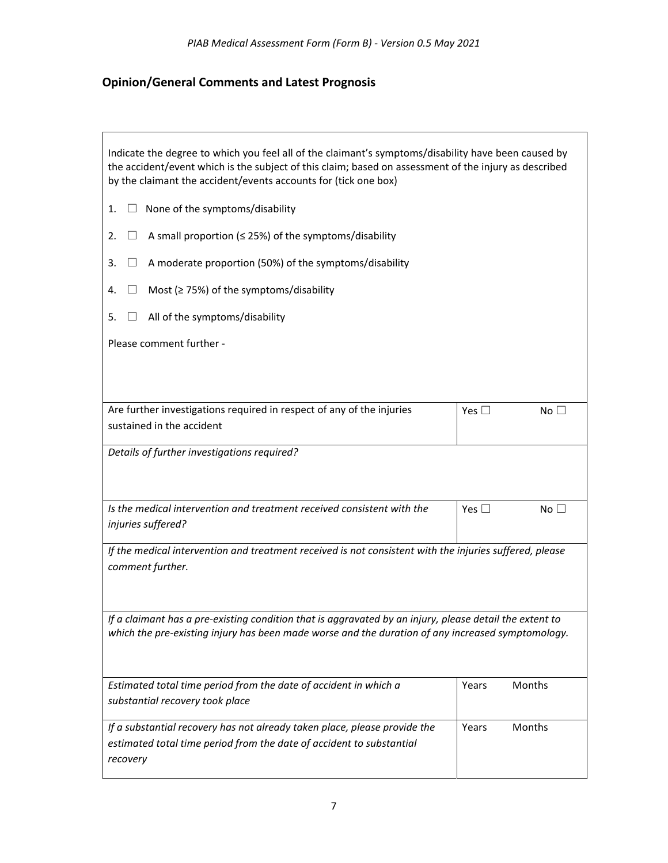## **Opinion/General Comments and Latest Prognosis**

| Indicate the degree to which you feel all of the claimant's symptoms/disability have been caused by<br>the accident/event which is the subject of this claim; based on assessment of the injury as described<br>by the claimant the accident/events accounts for (tick one box) |               |                 |
|---------------------------------------------------------------------------------------------------------------------------------------------------------------------------------------------------------------------------------------------------------------------------------|---------------|-----------------|
| None of the symptoms/disability<br>1.                                                                                                                                                                                                                                           |               |                 |
| A small proportion ( $\leq$ 25%) of the symptoms/disability<br>2.                                                                                                                                                                                                               |               |                 |
| A moderate proportion (50%) of the symptoms/disability<br>3.                                                                                                                                                                                                                    |               |                 |
| Most ( $\geq$ 75%) of the symptoms/disability<br>4.                                                                                                                                                                                                                             |               |                 |
| All of the symptoms/disability<br>5.                                                                                                                                                                                                                                            |               |                 |
| Please comment further -                                                                                                                                                                                                                                                        |               |                 |
|                                                                                                                                                                                                                                                                                 |               |                 |
| Are further investigations required in respect of any of the injuries                                                                                                                                                                                                           | Yes $\square$ | No <sub>1</sub> |
| sustained in the accident                                                                                                                                                                                                                                                       |               |                 |
| Details of further investigations required?                                                                                                                                                                                                                                     |               |                 |
|                                                                                                                                                                                                                                                                                 |               |                 |
| Is the medical intervention and treatment received consistent with the<br>injuries suffered?                                                                                                                                                                                    | Yes $\square$ | No $\square$    |
| If the medical intervention and treatment received is not consistent with the injuries suffered, please                                                                                                                                                                         |               |                 |
| comment further.                                                                                                                                                                                                                                                                |               |                 |
|                                                                                                                                                                                                                                                                                 |               |                 |
| If a claimant has a pre-existing condition that is aggravated by an injury, please detail the extent to<br>which the pre-existing injury has been made worse and the duration of any increased symptomology.                                                                    |               |                 |
|                                                                                                                                                                                                                                                                                 |               |                 |
| Estimated total time period from the date of accident in which a<br>substantial recovery took place                                                                                                                                                                             | Years         | Months          |
| If a substantial recovery has not already taken place, please provide the<br>estimated total time period from the date of accident to substantial<br>recovery                                                                                                                   | Years         | Months          |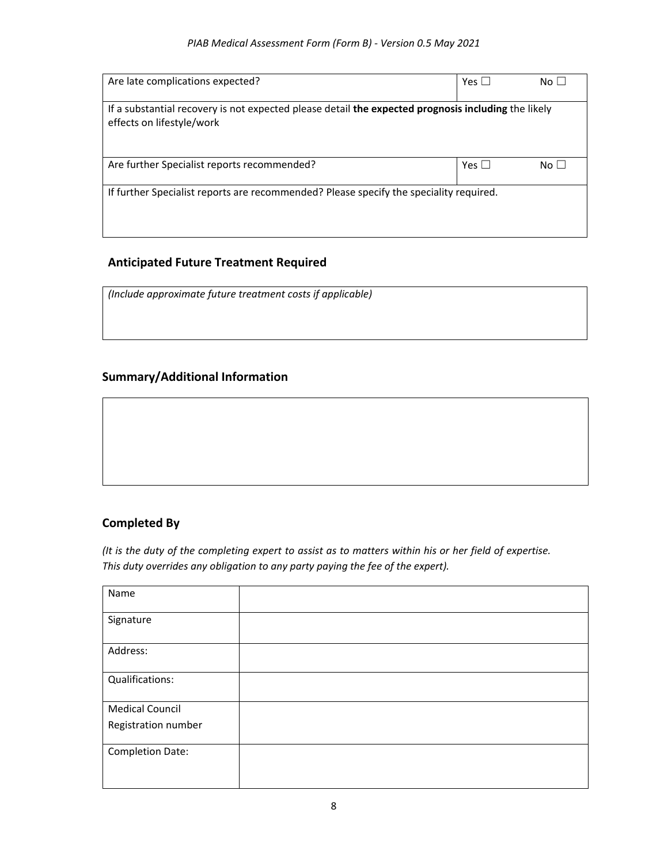| Are late complications expected?                                                                                                 | Yes $\square$ | No L |
|----------------------------------------------------------------------------------------------------------------------------------|---------------|------|
| If a substantial recovery is not expected please detail the expected prognosis including the likely<br>effects on lifestyle/work |               |      |
| Are further Specialist reports recommended?                                                                                      | Yes $\Box$    | No L |
| If further Specialist reports are recommended? Please specify the speciality required.                                           |               |      |

### **Anticipated Future Treatment Required**

*(Include approximate future treatment costs if applicable)* 

### **Summary/Additional Information**

### **Completed By**

*(It is the duty of the completing expert to assist as to matters within his or her field of expertise. This duty overrides any obligation to any party paying the fee of the expert).* 

| Name                   |  |
|------------------------|--|
| Signature              |  |
| Address:               |  |
| Qualifications:        |  |
| <b>Medical Council</b> |  |
| Registration number    |  |
| Completion Date:       |  |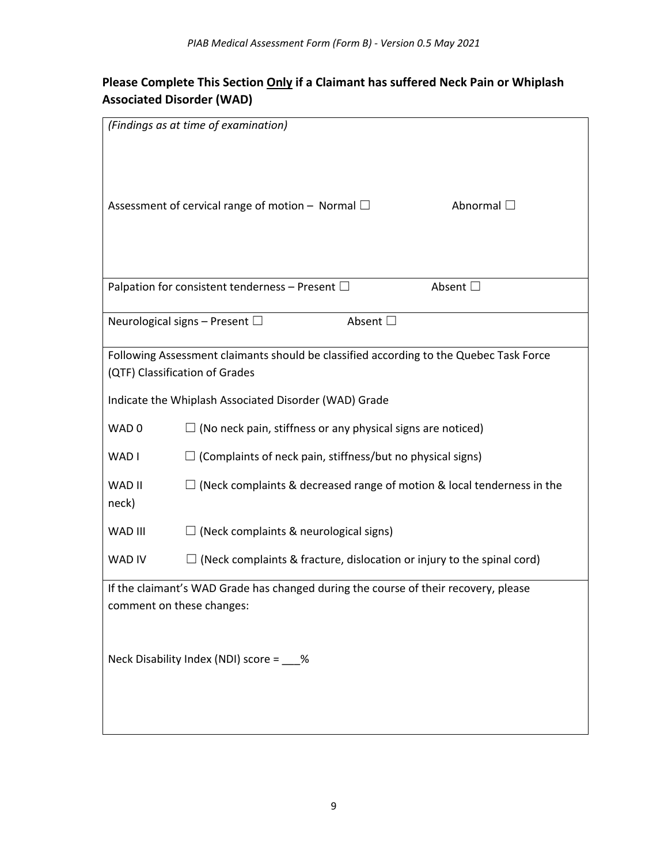## **Please Complete This Section Only if a Claimant has suffered Neck Pain or Whiplash Associated Disorder (WAD)**

|                           | (Findings as at time of examination)                                                                                     |
|---------------------------|--------------------------------------------------------------------------------------------------------------------------|
|                           | Abnormal $\square$<br>Assessment of cervical range of motion - Normal $\Box$                                             |
|                           | Absent □<br>Palpation for consistent tenderness - Present $\Box$                                                         |
|                           | Absent □<br>Neurological signs - Present $\Box$                                                                          |
|                           | Following Assessment claimants should be classified according to the Quebec Task Force<br>(QTF) Classification of Grades |
|                           | Indicate the Whiplash Associated Disorder (WAD) Grade                                                                    |
| WAD <sub>0</sub>          | (No neck pain, stiffness or any physical signs are noticed)                                                              |
| WAD I                     | $\Box$ (Complaints of neck pain, stiffness/but no physical signs)                                                        |
| WAD II<br>neck)           | $\Box$ (Neck complaints & decreased range of motion & local tenderness in the                                            |
| WAD III                   | $\Box$ (Neck complaints & neurological signs)                                                                            |
| WAD IV                    | $\Box$ (Neck complaints & fracture, dislocation or injury to the spinal cord)                                            |
| comment on these changes: | If the claimant's WAD Grade has changed during the course of their recovery, please                                      |
|                           | Neck Disability Index (NDI) score = ___%                                                                                 |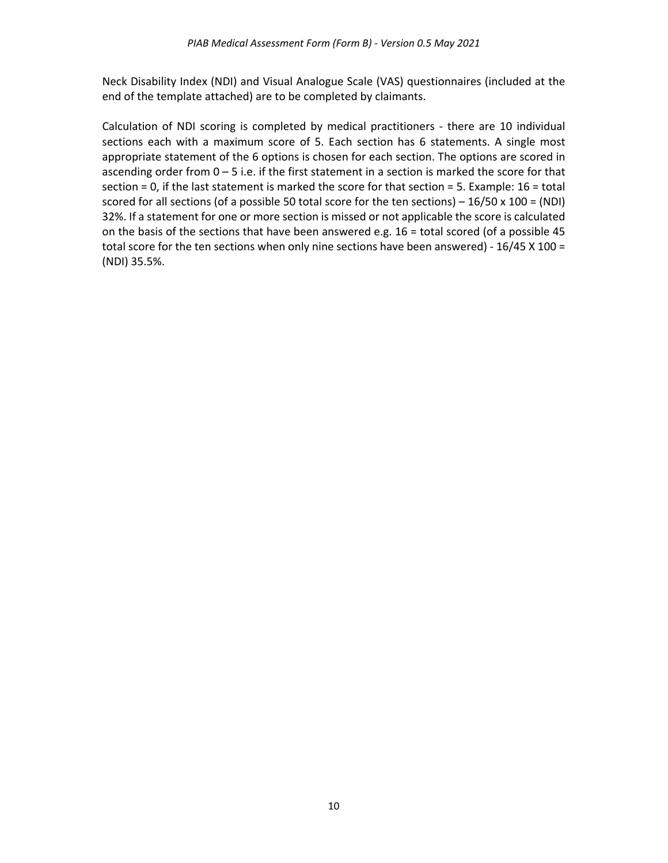Neck Disability Index (NDI) and Visual Analogue Scale (VAS) questionnaires (included at the end of the template attached) are to be completed by claimants.

Calculation of NDI scoring is completed by medical practitioners ‐ there are 10 individual sections each with a maximum score of 5. Each section has 6 statements. A single most appropriate statement of the 6 options is chosen for each section. The options are scored in ascending order from  $0 - 5$  i.e. if the first statement in a section is marked the score for that section = 0, if the last statement is marked the score for that section = 5. Example: 16 = total scored for all sections (of a possible 50 total score for the ten sections) –  $16/50 \times 100 = (NDI)$ 32%. If a statement for one or more section is missed or not applicable the score is calculated on the basis of the sections that have been answered e.g.  $16 =$  total scored (of a possible 45 total score for the ten sections when only nine sections have been answered) ‐ 16/45 X 100 = (NDI) 35.5%.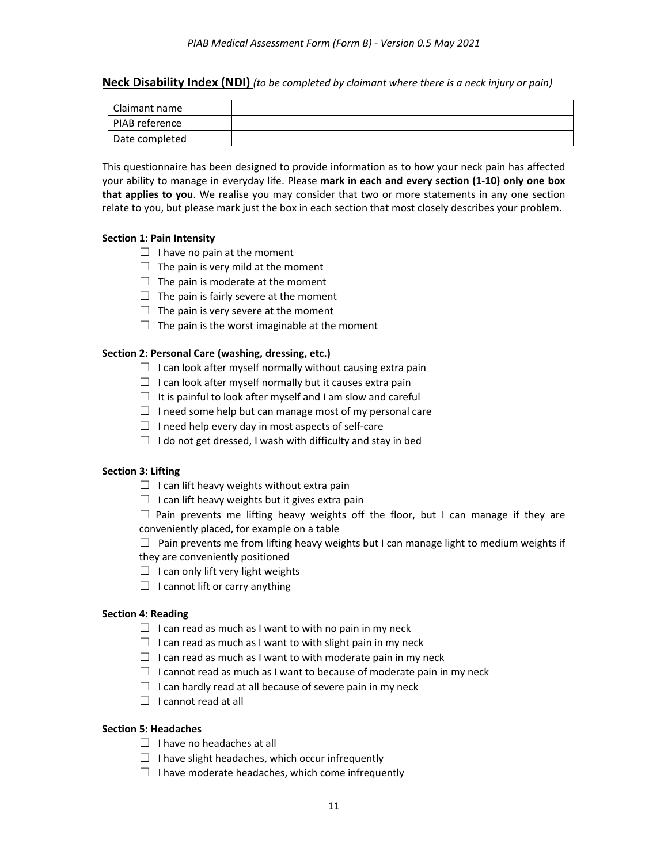### **Neck Disability Index (NDI)** *(to be completed by claimant where there is a neck injury or pain)*

| Claimant name  |  |
|----------------|--|
| PIAB reference |  |
| Date completed |  |

This questionnaire has been designed to provide information as to how your neck pain has affected your ability to manage in everyday life. Please **mark in each and every section (1‐10) only one box that applies to you**. We realise you may consider that two or more statements in any one section relate to you, but please mark just the box in each section that most closely describes your problem.

### **Section 1: Pain Intensity**

- $\Box$  I have no pain at the moment
- $\Box$  The pain is very mild at the moment
- $\Box$  The pain is moderate at the moment
- $\Box$  The pain is fairly severe at the moment
- $\Box$  The pain is very severe at the moment
- $\Box$  The pain is the worst imaginable at the moment

### **Section 2: Personal Care (washing, dressing, etc.)**

- $\Box$  I can look after myself normally without causing extra pain
- $\Box$  I can look after myself normally but it causes extra pain
- $\Box$  It is painful to look after myself and I am slow and careful
- $\Box$  I need some help but can manage most of my personal care
- $\Box$  I need help every day in most aspects of self-care
- $\Box$  I do not get dressed, I wash with difficulty and stay in bed

### **Section 3: Lifting**

- $\Box$  I can lift heavy weights without extra pain
- $\Box$  I can lift heavy weights but it gives extra pain

 $\Box$  Pain prevents me lifting heavy weights off the floor, but I can manage if they are conveniently placed, for example on a table

 $\Box$  Pain prevents me from lifting heavy weights but I can manage light to medium weights if they are conveniently positioned

- $\Box$  I can only lift very light weights
- $\Box$  I cannot lift or carry anything

### **Section 4: Reading**

- $\Box$  I can read as much as I want to with no pain in my neck
- $\Box$  I can read as much as I want to with slight pain in my neck
- $\Box$  I can read as much as I want to with moderate pain in my neck
- $\Box$  I cannot read as much as I want to because of moderate pain in my neck
- $\Box$  I can hardly read at all because of severe pain in my neck
- $\Box$  I cannot read at all

### **Section 5: Headaches**

- $\Box$  I have no headaches at all
- $\Box$  I have slight headaches, which occur infrequently
- $\Box$  I have moderate headaches, which come infrequently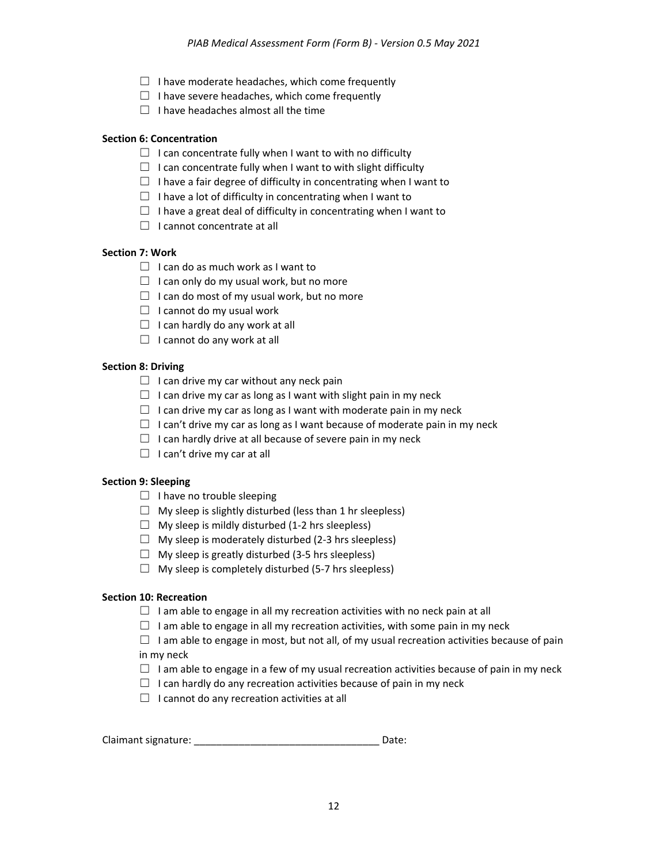- $\Box$  I have moderate headaches, which come frequently
- $\Box$  I have severe headaches, which come frequently
- $\Box$  I have headaches almost all the time

### **Section 6: Concentration**

- $\Box$  I can concentrate fully when I want to with no difficulty
- $\Box$  I can concentrate fully when I want to with slight difficulty
- $\Box$  I have a fair degree of difficulty in concentrating when I want to
- $\Box$  I have a lot of difficulty in concentrating when I want to
- $\Box$  I have a great deal of difficulty in concentrating when I want to
- $\Box$  I cannot concentrate at all

### **Section 7: Work**

- $\Box$  I can do as much work as I want to
- $\Box$  I can only do my usual work, but no more
- $\Box$  I can do most of my usual work, but no more
- $\Box$  I cannot do my usual work
- $\Box$  I can hardly do any work at all
- $\Box$  I cannot do any work at all

### **Section 8: Driving**

- $\Box$  I can drive my car without any neck pain
- $\Box$  I can drive my car as long as I want with slight pain in my neck
- $\Box$  I can drive my car as long as I want with moderate pain in my neck
- $\Box$  I can't drive my car as long as I want because of moderate pain in my neck
- $\Box$  I can hardly drive at all because of severe pain in my neck
- $\Box$  I can't drive my car at all

### **Section 9: Sleeping**

- $\Box$  I have no trouble sleeping
- $\Box$  My sleep is slightly disturbed (less than 1 hr sleepless)
- $\Box$  My sleep is mildly disturbed (1-2 hrs sleepless)
- $\Box$  My sleep is moderately disturbed (2-3 hrs sleepless)
- $\Box$  My sleep is greatly disturbed (3-5 hrs sleepless)
- $\Box$  My sleep is completely disturbed (5-7 hrs sleepless)

### **Section 10: Recreation**

- $\Box$  I am able to engage in all my recreation activities with no neck pain at all
- $\Box$  I am able to engage in all my recreation activities, with some pain in my neck
- $\Box$  I am able to engage in most, but not all, of my usual recreation activities because of pain in my neck
- $\Box$  I am able to engage in a few of my usual recreation activities because of pain in my neck
- $\Box$  I can hardly do any recreation activities because of pain in my neck
- $\Box$  I cannot do any recreation activities at all

Claimant signature: \_\_\_\_\_\_\_\_\_\_\_\_\_\_\_\_\_\_\_\_\_\_\_\_\_\_\_\_\_\_\_\_\_ Date: